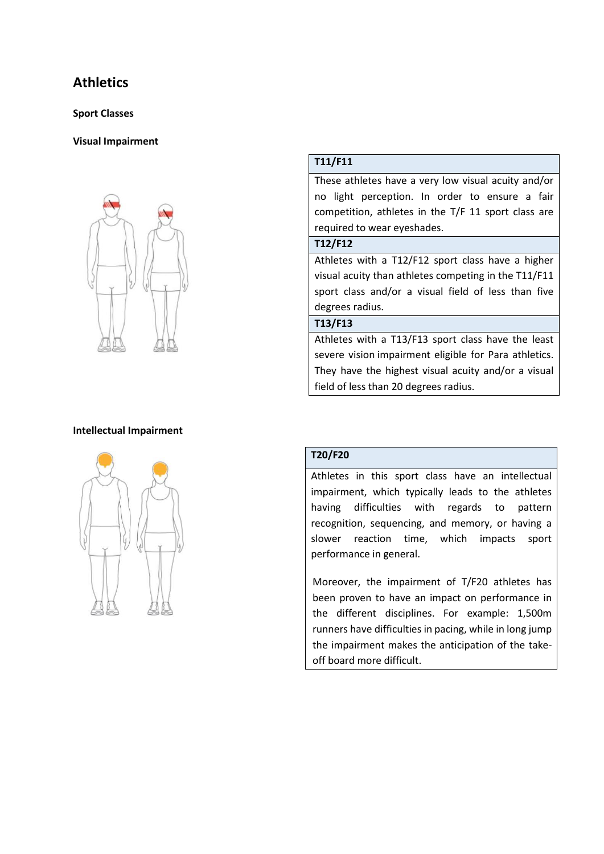# **Athletics**

#### **Sport Classes**

## **Visual Impairment**



# **T11/F11**

These athletes have a very low visual acuity and/or no light perception. In order to ensure a fair competition, athletes in the T/F 11 sport class are required to wear eyeshades.

#### **T12/F12**

Athletes with a T12/F12 sport class have a higher visual acuity than athletes competing in the T11/F11 sport class and/or a visual field of less than five degrees radius.

## **T13/F13**

Athletes with a T13/F13 sport class have the least severe vision impairment eligible for Para athletics. They have the highest visual acuity and/or a visual field of less than 20 degrees radius.

### **Intellectual Impairment**



# **T20/F20**

Athletes in this sport class have an intellectual impairment, which typically leads to the athletes having difficulties with regards to pattern recognition, sequencing, and memory, or having a slower reaction time, which impacts sport performance in general.

Moreover, the impairment of T/F20 athletes has been proven to have an impact on performance in the different disciplines. For example: 1,500m runners have difficulties in pacing, while in long jump the impairment makes the anticipation of the takeoff board more difficult.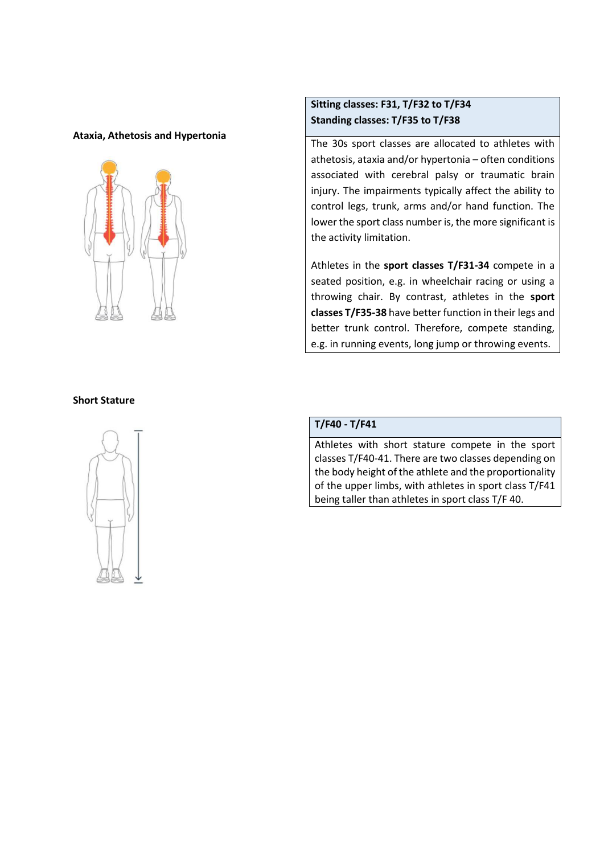#### **Ataxia, Athetosis and Hypertonia**



# **Sitting classes: F31, T/F32 to T/F34 Standing classes: T/F35 to T/F38**

The 30s sport classes are allocated to athletes with athetosis, ataxia and/or hypertonia – often conditions associated with cerebral palsy or traumatic brain injury. The impairments typically affect the ability to control legs, trunk, arms and/or hand function. The lower the sport class number is, the more significant is the activity limitation.

Athletes in the **sport classes T/F31-34** compete in a seated position, e.g. in wheelchair racing or using a throwing chair. By contrast, athletes in the **sport classes T/F35-38** have better function in their legs and better trunk control. Therefore, compete standing, e.g. in running events, long jump or throwing events.

#### **Short Stature**



## **T/F40 - T/F41**

Athletes with short stature compete in the sport classes T/F40-41. There are two classes depending on the body height of the athlete and the proportionality of the upper limbs, with athletes in sport class T/F41 being taller than athletes in sport class T/F 40.